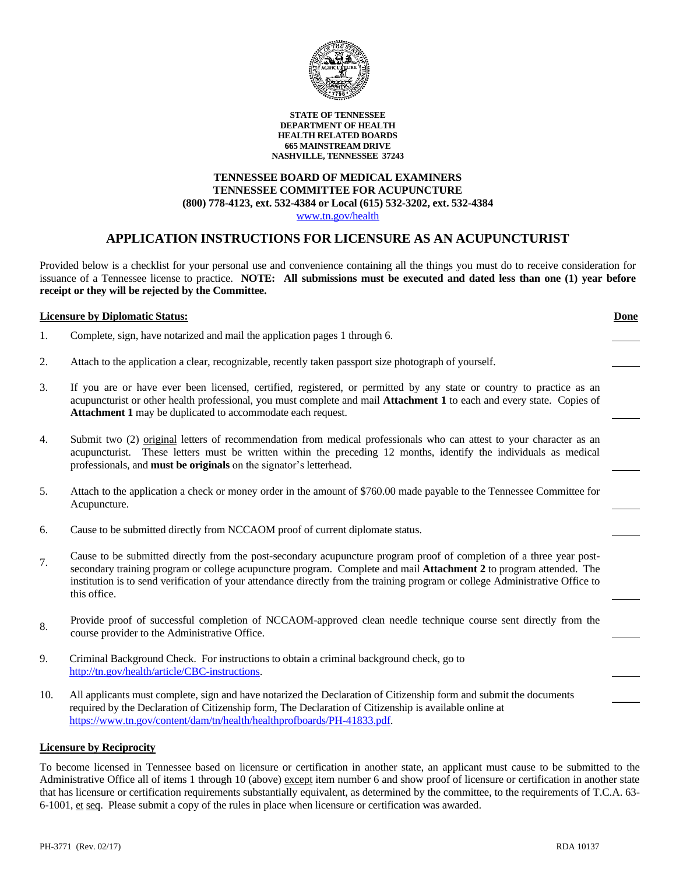

#### **STATE OF TENNESSEE DEPARTMENT OF HEALTH HEALTH RELATED BOARDS 665 MAINSTREAM DRIVE NASHVILLE, TENNESSEE 37243**

## **TENNESSEE BOARD OF MEDICAL EXAMINERS TENNESSEE COMMITTEE FOR ACUPUNCTURE (800) 778-4123, ext. 532-4384 or Local (615) 532-3202, ext. 532-4384**

[www.tn.gov/health](http://www.tn.gov/health)

## **APPLICATION INSTRUCTIONS FOR LICENSURE AS AN ACUPUNCTURIST**

Provided below is a checklist for your personal use and convenience containing all the things you must do to receive consideration for issuance of a Tennessee license to practice. **NOTE: All submissions must be executed and dated less than one (1) year before receipt or they will be rejected by the Committee.**

|     | <b>Licensure by Diplomatic Status:</b>                                                                                                                                                                                                                                                                                                                                                             | <b>Done</b> |
|-----|----------------------------------------------------------------------------------------------------------------------------------------------------------------------------------------------------------------------------------------------------------------------------------------------------------------------------------------------------------------------------------------------------|-------------|
| 1.  | Complete, sign, have notarized and mail the application pages 1 through 6.                                                                                                                                                                                                                                                                                                                         |             |
| 2.  | Attach to the application a clear, recognizable, recently taken passport size photograph of yourself.                                                                                                                                                                                                                                                                                              |             |
| 3.  | If you are or have ever been licensed, certified, registered, or permitted by any state or country to practice as an<br>acupuncturist or other health professional, you must complete and mail Attachment 1 to each and every state. Copies of<br>Attachment 1 may be duplicated to accommodate each request.                                                                                      |             |
| 4.  | Submit two (2) original letters of recommendation from medical professionals who can attest to your character as an<br>acupuncturist. These letters must be written within the preceding 12 months, identify the individuals as medical<br>professionals, and must be originals on the signator's letterhead.                                                                                      |             |
| 5.  | Attach to the application a check or money order in the amount of \$760.00 made payable to the Tennessee Committee for<br>Acupuncture.                                                                                                                                                                                                                                                             |             |
| 6.  | Cause to be submitted directly from NCCAOM proof of current diplomate status.                                                                                                                                                                                                                                                                                                                      |             |
| 7.  | Cause to be submitted directly from the post-secondary acupuncture program proof of completion of a three year post-<br>secondary training program or college acupuncture program. Complete and mail <b>Attachment 2</b> to program attended. The<br>institution is to send verification of your attendance directly from the training program or college Administrative Office to<br>this office. |             |
| 8.  | Provide proof of successful completion of NCCAOM-approved clean needle technique course sent directly from the<br>course provider to the Administrative Office.                                                                                                                                                                                                                                    |             |
| 9.  | Criminal Background Check. For instructions to obtain a criminal background check, go to<br>http://tn.gov/health/article/CBC-instructions.                                                                                                                                                                                                                                                         |             |
| 10. | All applicants must complete, sign and have notarized the Declaration of Citizenship form and submit the documents<br>required by the Declaration of Citizenship form, The Declaration of Citizenship is available online at                                                                                                                                                                       |             |

**Licensure by Reciprocity**

[https://www.tn.gov/content/dam/tn/health/healthprofboards/PH-41833.pdf.](https://www.tn.gov/content/dam/tn/health/healthprofboards/PH-41833.pdf)

To become licensed in Tennessee based on licensure or certification in another state, an applicant must cause to be submitted to the Administrative Office all of items 1 through 10 (above) except item number 6 and show proof of licensure or certification in another state that has licensure or certification requirements substantially equivalent, as determined by the committee, to the requirements of T.C.A. 63- 6-1001, et seq. Please submit a copy of the rules in place when licensure or certification was awarded.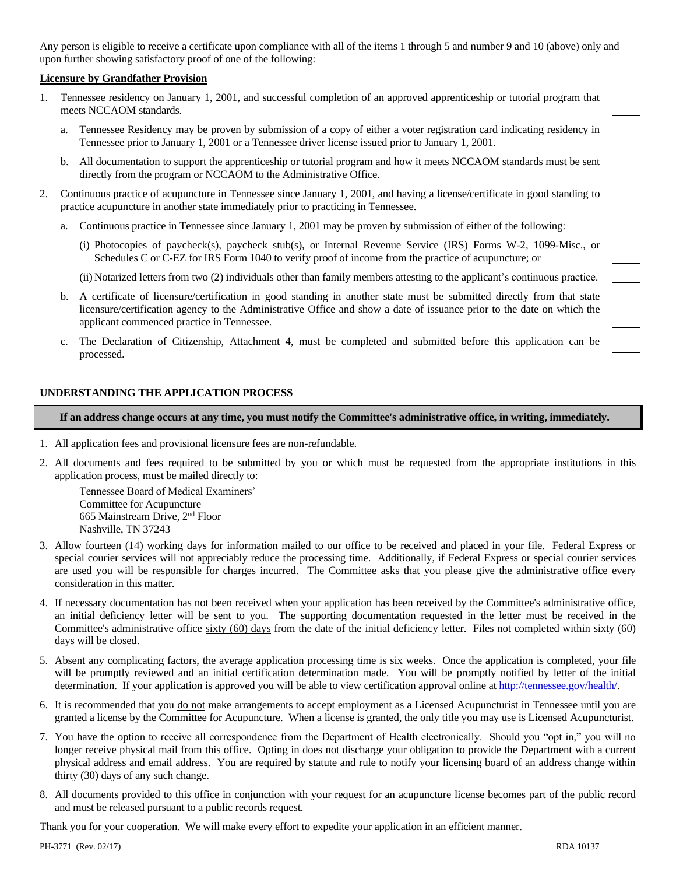Any person is eligible to receive a certificate upon compliance with all of the items 1 through 5 and number 9 and 10 (above) only and upon further showing satisfactory proof of one of the following:

#### **Licensure by Grandfather Provision**

- 1. Tennessee residency on January 1, 2001, and successful completion of an approved apprenticeship or tutorial program that meets NCCAOM standards.
	- a. Tennessee Residency may be proven by submission of a copy of either a voter registration card indicating residency in Tennessee prior to January 1, 2001 or a Tennessee driver license issued prior to January 1, 2001.
	- b. All documentation to support the apprenticeship or tutorial program and how it meets NCCAOM standards must be sent directly from the program or NCCAOM to the Administrative Office.
- 2. Continuous practice of acupuncture in Tennessee since January 1, 2001, and having a license/certificate in good standing to practice acupuncture in another state immediately prior to practicing in Tennessee.
	- a. Continuous practice in Tennessee since January 1, 2001 may be proven by submission of either of the following:
		- (i) Photocopies of paycheck(s), paycheck stub(s), or Internal Revenue Service (IRS) Forms W-2, 1099-Misc., or Schedules C or C-EZ for IRS Form 1040 to verify proof of income from the practice of acupuncture; or
		- (ii) Notarized letters from two (2) individuals other than family members attesting to the applicant's continuous practice.
	- b. A certificate of licensure/certification in good standing in another state must be submitted directly from that state licensure/certification agency to the Administrative Office and show a date of issuance prior to the date on which the applicant commenced practice in Tennessee.
	- c. The Declaration of Citizenship, Attachment 4, must be completed and submitted before this application can be processed.

#### **UNDERSTANDING THE APPLICATION PROCESS**

**If an address change occurs at any time, you must notify the Committee's administrative office, in writing, immediately.**

- 1. All application fees and provisional licensure fees are non-refundable.
- 2. All documents and fees required to be submitted by you or which must be requested from the appropriate institutions in this application process, must be mailed directly to:

Tennessee Board of Medical Examiners' Committee for Acupuncture 665 Mainstream Drive, 2nd Floor Nashville, TN 37243

- 3. Allow fourteen (14) working days for information mailed to our office to be received and placed in your file. Federal Express or special courier services will not appreciably reduce the processing time. Additionally, if Federal Express or special courier services are used you will be responsible for charges incurred. The Committee asks that you please give the administrative office every consideration in this matter.
- 4. If necessary documentation has not been received when your application has been received by the Committee's administrative office, an initial deficiency letter will be sent to you. The supporting documentation requested in the letter must be received in the Committee's administrative office sixty (60) days from the date of the initial deficiency letter. Files not completed within sixty (60) days will be closed.
- 5. Absent any complicating factors, the average application processing time is six weeks. Once the application is completed, your file will be promptly reviewed and an initial certification determination made. You will be promptly notified by letter of the initial determination. If your application is approved you will be able to view certification approval online at [http://tennessee.gov/health/.](http://tennessee.gov/health/)
- 6. It is recommended that you do not make arrangements to accept employment as a Licensed Acupuncturist in Tennessee until you are granted a license by the Committee for Acupuncture. When a license is granted, the only title you may use is Licensed Acupuncturist.
- 7. You have the option to receive all correspondence from the Department of Health electronically. Should you "opt in," you will no longer receive physical mail from this office. Opting in does not discharge your obligation to provide the Department with a current physical address and email address. You are required by statute and rule to notify your licensing board of an address change within thirty (30) days of any such change.
- 8. All documents provided to this office in conjunction with your request for an acupuncture license becomes part of the public record and must be released pursuant to a public records request.

Thank you for your cooperation. We will make every effort to expedite your application in an efficient manner.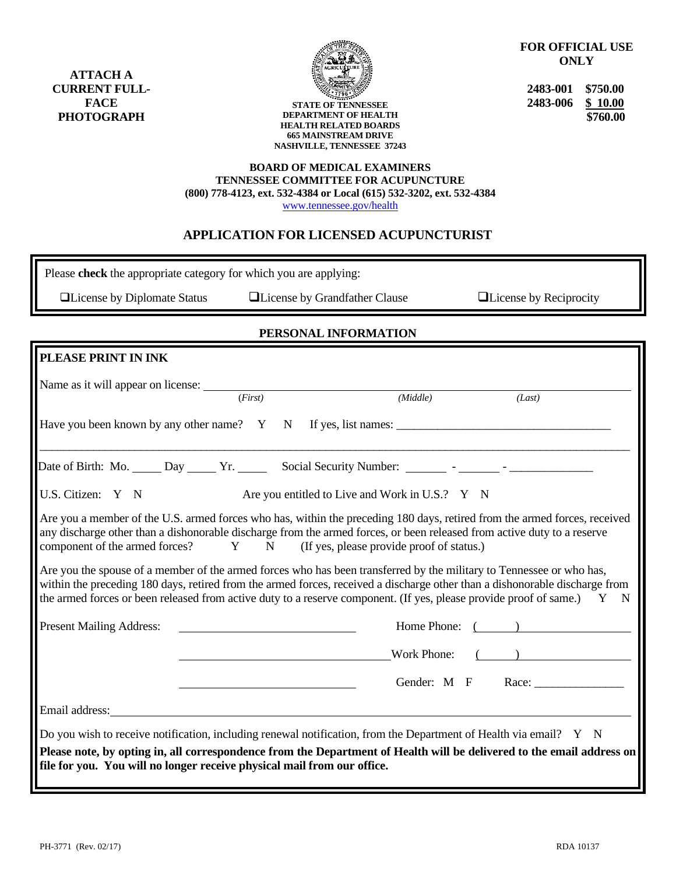**ATTACH A CURRENT FULL-FACE PHOTOGRAPH**



**STATE OF TENNESSEE DEPARTMENT OF HEALTH HEALTH RELATED BOARDS 665 MAINSTREAM DRIVE NASHVILLE, TENNESSEE 37243** **FOR OFFICIAL USE ONLY**

**2483-001 \$750.00 2483-006 \$ 10.00 \$760.00**

#### **BOARD OF MEDICAL EXAMINERS TENNESSEE COMMITTEE FOR ACUPUNCTURE (800) 778-4123, ext. 532-4384 or Local (615) 532-3202, ext. 532-4384**

[www.tennessee.gov/health](http://tennessee.gov/health/)

## **APPLICATION FOR LICENSED ACUPUNCTURIST**

Please **check** the appropriate category for which you are applying:

❑License by Diplomate Status ❑License by Grandfather Clause ❑License by Reciprocity

### **PERSONAL INFORMATION**

| PLEASE PRINT IN INK                                                                                                                                                                                                                                                                                                                                                                                                                                                                                                                                                                                                                                                                                                   |         |                                                |          |                   |  |
|-----------------------------------------------------------------------------------------------------------------------------------------------------------------------------------------------------------------------------------------------------------------------------------------------------------------------------------------------------------------------------------------------------------------------------------------------------------------------------------------------------------------------------------------------------------------------------------------------------------------------------------------------------------------------------------------------------------------------|---------|------------------------------------------------|----------|-------------------|--|
|                                                                                                                                                                                                                                                                                                                                                                                                                                                                                                                                                                                                                                                                                                                       |         |                                                |          |                   |  |
|                                                                                                                                                                                                                                                                                                                                                                                                                                                                                                                                                                                                                                                                                                                       | (First) |                                                | (Middle) | (Last)            |  |
|                                                                                                                                                                                                                                                                                                                                                                                                                                                                                                                                                                                                                                                                                                                       |         |                                                |          |                   |  |
|                                                                                                                                                                                                                                                                                                                                                                                                                                                                                                                                                                                                                                                                                                                       |         |                                                |          |                   |  |
| U.S. Citizen: Y N                                                                                                                                                                                                                                                                                                                                                                                                                                                                                                                                                                                                                                                                                                     |         | Are you entitled to Live and Work in U.S.? Y N |          |                   |  |
| Are you a member of the U.S. armed forces who has, within the preceding 180 days, retired from the armed forces, received<br>any discharge other than a dishonorable discharge from the armed forces, or been released from active duty to a reserve<br>component of the armed forces? Y N (If yes, please provide proof of status.)<br>Are you the spouse of a member of the armed forces who has been transferred by the military to Tennessee or who has,<br>within the preceding 180 days, retired from the armed forces, received a discharge other than a dishonorable discharge from<br>the armed forces or been released from active duty to a reserve component. (If yes, please provide proof of same.) Y N |         |                                                |          |                   |  |
| <b>Present Mailing Address:</b>                                                                                                                                                                                                                                                                                                                                                                                                                                                                                                                                                                                                                                                                                       |         |                                                |          | Home Phone: ( )   |  |
|                                                                                                                                                                                                                                                                                                                                                                                                                                                                                                                                                                                                                                                                                                                       |         |                                                |          | Work Phone: $($   |  |
|                                                                                                                                                                                                                                                                                                                                                                                                                                                                                                                                                                                                                                                                                                                       |         |                                                |          | Gender: M F Race: |  |
| Email address: No. 1996. The Contract of the Contract of the Contract of the Contract of the Contract of the Contract of the Contract of the Contract of the Contract of the Contract of the Contract of the Contract of the C                                                                                                                                                                                                                                                                                                                                                                                                                                                                                        |         |                                                |          |                   |  |
| Do you wish to receive notification, including renewal notification, from the Department of Health via email? Y N                                                                                                                                                                                                                                                                                                                                                                                                                                                                                                                                                                                                     |         |                                                |          |                   |  |
| Please note, by opting in, all correspondence from the Department of Health will be delivered to the email address on<br>file for you. You will no longer receive physical mail from our office.                                                                                                                                                                                                                                                                                                                                                                                                                                                                                                                      |         |                                                |          |                   |  |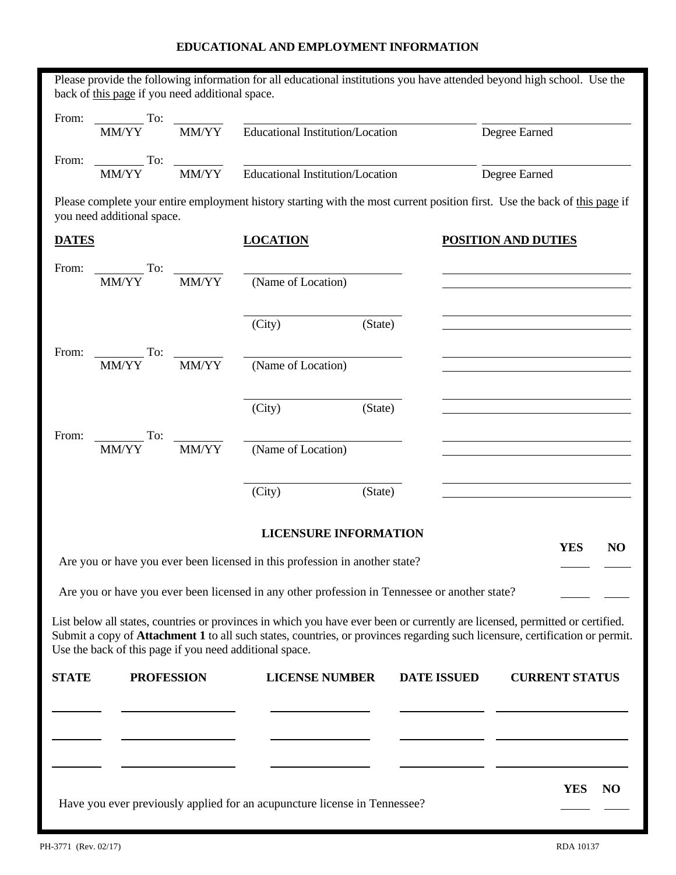# **EDUCATIONAL AND EMPLOYMENT INFORMATION**

|              | back of this page if you need additional space.         |                 | Please provide the following information for all educational institutions you have attended beyond high school. Use the                                                                                                                                      |         |                    |                                                             |     |
|--------------|---------------------------------------------------------|-----------------|--------------------------------------------------------------------------------------------------------------------------------------------------------------------------------------------------------------------------------------------------------------|---------|--------------------|-------------------------------------------------------------|-----|
|              |                                                         |                 | From: $\frac{1}{M M/YY}$ To: $\frac{1}{M M/YY}$ Educational Institution/Location                                                                                                                                                                             |         |                    | Degree Earned                                               |     |
|              |                                                         |                 | From: To: To: MM/YY Educational Institution/Location                                                                                                                                                                                                         |         |                    | Degree Earned                                               |     |
|              | you need additional space.                              |                 | Please complete your entire employment history starting with the most current position first. Use the back of this page if                                                                                                                                   |         |                    |                                                             |     |
| <b>DATES</b> |                                                         |                 | <b>LOCATION</b>                                                                                                                                                                                                                                              |         |                    | <b>POSITION AND DUTIES</b>                                  |     |
|              | From: $\frac{1}{M M/YY}$ To:                            | $\frac{MN}{YY}$ | (Name of Location)                                                                                                                                                                                                                                           |         |                    |                                                             |     |
|              |                                                         |                 | (City)                                                                                                                                                                                                                                                       | (State) |                    |                                                             |     |
| From:        | $T$ o:<br>MM/YY                                         |                 | $\frac{1}{\text{MM/YY}}$ (Name of Location)                                                                                                                                                                                                                  |         |                    |                                                             |     |
|              |                                                         |                 | (City)                                                                                                                                                                                                                                                       | (State) |                    | <u> 1989 - Johann Stoff, Amerikaansk politiker († 1908)</u> |     |
| From:        | To:<br>MM/YY                                            | MM/YY           | (Name of Location)                                                                                                                                                                                                                                           |         |                    | <u> 1989 - Johann Barbara, martxa alemaniar a</u>           |     |
|              |                                                         |                 | (City)                                                                                                                                                                                                                                                       | (State) |                    |                                                             |     |
|              |                                                         |                 | <b>LICENSURE INFORMATION</b>                                                                                                                                                                                                                                 |         |                    |                                                             |     |
|              |                                                         |                 | Are you or have you ever been licensed in this profession in another state?                                                                                                                                                                                  |         |                    | <b>YES</b>                                                  | NO  |
|              |                                                         |                 | Are you or have you ever been licensed in any other profession in Tennessee or another state?                                                                                                                                                                |         |                    |                                                             |     |
|              | Use the back of this page if you need additional space. |                 | List below all states, countries or provinces in which you have ever been or currently are licensed, permitted or certified.<br>Submit a copy of Attachment 1 to all such states, countries, or provinces regarding such licensure, certification or permit. |         |                    |                                                             |     |
| <b>STATE</b> | <b>PROFESSION</b>                                       |                 | <b>LICENSE NUMBER</b>                                                                                                                                                                                                                                        |         | <b>DATE ISSUED</b> | <b>CURRENT STATUS</b>                                       |     |
|              |                                                         |                 |                                                                                                                                                                                                                                                              |         |                    |                                                             |     |
|              |                                                         |                 |                                                                                                                                                                                                                                                              |         |                    | <b>YES</b>                                                  | NO. |
|              |                                                         |                 | Have you ever previously applied for an acupuncture license in Tennessee?                                                                                                                                                                                    |         |                    |                                                             |     |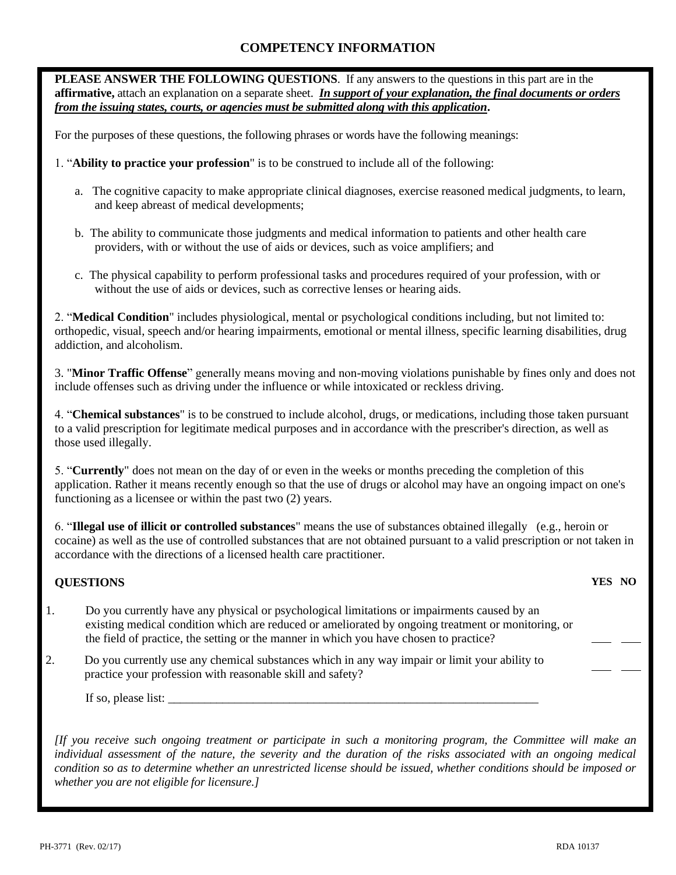# **COMPETENCY INFORMATION**

**PLEASE ANSWER THE FOLLOWING QUESTIONS**. If any answers to the questions in this part are in the **affirmative,** attach an explanation on a separate sheet. *In support of your explanation, the final documents or orders from the issuing states, courts, or agencies must be submitted along with this application***.**

For the purposes of these questions, the following phrases or words have the following meanings:

- 1. "**Ability to practice your profession**" is to be construed to include all of the following:
	- a. The cognitive capacity to make appropriate clinical diagnoses, exercise reasoned medical judgments, to learn, and keep abreast of medical developments;
	- b. The ability to communicate those judgments and medical information to patients and other health care providers, with or without the use of aids or devices, such as voice amplifiers; and
	- c. The physical capability to perform professional tasks and procedures required of your profession, with or without the use of aids or devices, such as corrective lenses or hearing aids.

2. "**Medical Condition**" includes physiological, mental or psychological conditions including, but not limited to: orthopedic, visual, speech and/or hearing impairments, emotional or mental illness, specific learning disabilities, drug addiction, and alcoholism.

3. "**Minor Traffic Offense**" generally means moving and non-moving violations punishable by fines only and does not include offenses such as driving under the influence or while intoxicated or reckless driving.

4. "**Chemical substances**" is to be construed to include alcohol, drugs, or medications, including those taken pursuant to a valid prescription for legitimate medical purposes and in accordance with the prescriber's direction, as well as those used illegally.

5. "**Currently**" does not mean on the day of or even in the weeks or months preceding the completion of this application. Rather it means recently enough so that the use of drugs or alcohol may have an ongoing impact on one's functioning as a licensee or within the past two (2) years.

6. "**Illegal use of illicit or controlled substances**" means the use of substances obtained illegally (e.g., heroin or cocaine) as well as the use of controlled substances that are not obtained pursuant to a valid prescription or not taken in accordance with the directions of a licensed health care practitioner.

## **QUESTIONS**

- 1. Do you currently have any physical or psychological limitations or impairments caused by an existing medical condition which are reduced or ameliorated by ongoing treatment or monitoring, or the field of practice, the setting or the manner in which you have chosen to practice?
- 2. Do you currently use any chemical substances which in any way impair or limit your ability to practice your profession with reasonable skill and safety?

If so, please list:

*[If you receive such ongoing treatment or participate in such a monitoring program, the Committee will make an*  individual assessment of the nature, the severity and the duration of the risks associated with an ongoing medical *condition so as to determine whether an unrestricted license should be issued, whether conditions should be imposed or whether you are not eligible for licensure.]*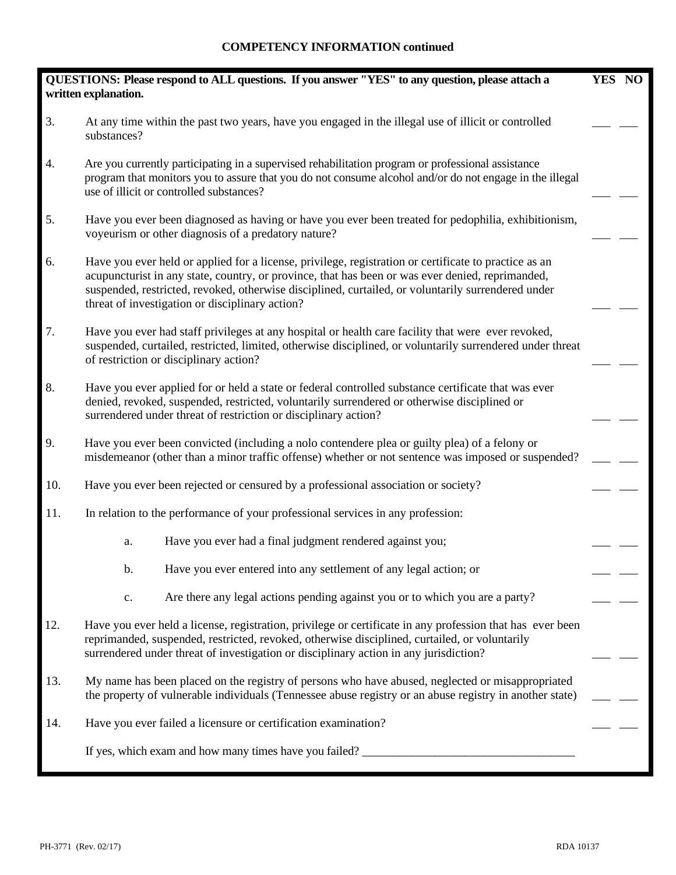|     | QUESTIONS: Please respond to ALL questions. If you answer "YES" to any question, please attach a<br>written explanation.                                                                                                                                                                                                                                           | YES NO |  |  |  |
|-----|--------------------------------------------------------------------------------------------------------------------------------------------------------------------------------------------------------------------------------------------------------------------------------------------------------------------------------------------------------------------|--------|--|--|--|
| 3.  | At any time within the past two years, have you engaged in the illegal use of illicit or controlled<br>substances?                                                                                                                                                                                                                                                 |        |  |  |  |
| 4.  | Are you currently participating in a supervised rehabilitation program or professional assistance<br>program that monitors you to assure that you do not consume alcohol and/or do not engage in the illegal<br>use of illicit or controlled substances?                                                                                                           |        |  |  |  |
| 5.  | Have you ever been diagnosed as having or have you ever been treated for pedophilia, exhibitionism,<br>voyeurism or other diagnosis of a predatory nature?                                                                                                                                                                                                         |        |  |  |  |
| 6.  | Have you ever held or applied for a license, privilege, registration or certificate to practice as an<br>acupuncturist in any state, country, or province, that has been or was ever denied, reprimanded,<br>suspended, restricted, revoked, otherwise disciplined, curtailed, or voluntarily surrendered under<br>threat of investigation or disciplinary action? |        |  |  |  |
| 7.  | Have you ever had staff privileges at any hospital or health care facility that were ever revoked,<br>suspended, curtailed, restricted, limited, otherwise disciplined, or voluntarily surrendered under threat<br>of restriction or disciplinary action?                                                                                                          |        |  |  |  |
| 8.  | Have you ever applied for or held a state or federal controlled substance certificate that was ever<br>denied, revoked, suspended, restricted, voluntarily surrendered or otherwise disciplined or<br>surrendered under threat of restriction or disciplinary action?                                                                                              |        |  |  |  |
| 9.  | Have you ever been convicted (including a nolo contendere plea or guilty plea) of a felony or<br>misdemeanor (other than a minor traffic offense) whether or not sentence was imposed or suspended?                                                                                                                                                                |        |  |  |  |
| 10. | Have you ever been rejected or censured by a professional association or society?                                                                                                                                                                                                                                                                                  |        |  |  |  |
| 11. | In relation to the performance of your professional services in any profession:                                                                                                                                                                                                                                                                                    |        |  |  |  |
|     | Have you ever had a final judgment rendered against you;<br>a.                                                                                                                                                                                                                                                                                                     |        |  |  |  |
|     | Have you ever entered into any settlement of any legal action; or<br>b.                                                                                                                                                                                                                                                                                            |        |  |  |  |
|     | Are there any legal actions pending against you or to which you are a party?<br>c.                                                                                                                                                                                                                                                                                 |        |  |  |  |
| 12. | Have you ever held a license, registration, privilege or certificate in any profession that has ever been<br>reprimanded, suspended, restricted, revoked, otherwise disciplined, curtailed, or voluntarily<br>surrendered under threat of investigation or disciplinary action in any jurisdiction?                                                                |        |  |  |  |
| 13. | My name has been placed on the registry of persons who have abused, neglected or misappropriated<br>the property of vulnerable individuals (Tennessee abuse registry or an abuse registry in another state)                                                                                                                                                        |        |  |  |  |
| 14. | Have you ever failed a licensure or certification examination?                                                                                                                                                                                                                                                                                                     |        |  |  |  |
|     |                                                                                                                                                                                                                                                                                                                                                                    |        |  |  |  |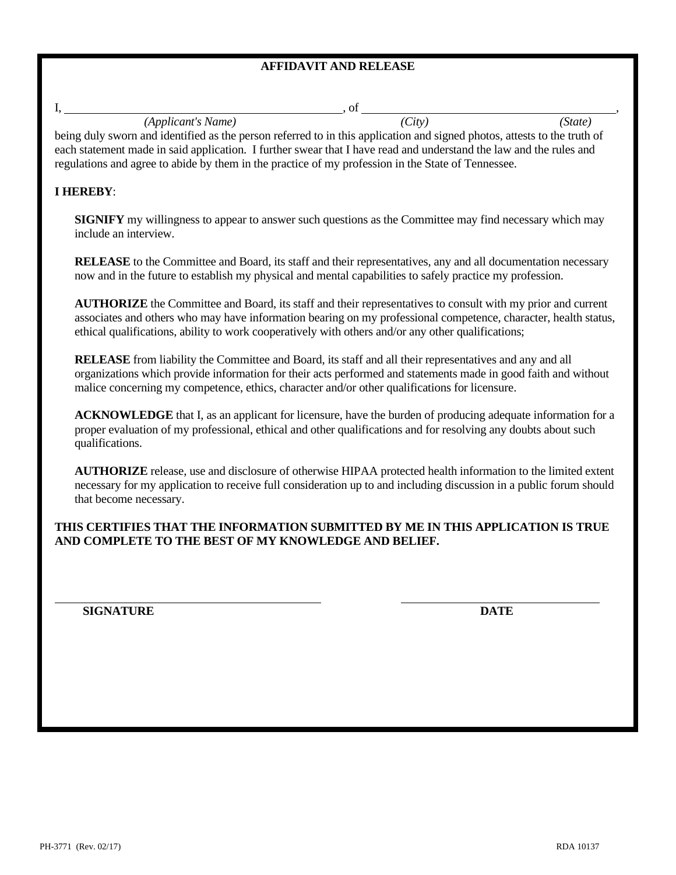## **AFFIDAVIT AND RELEASE**

| <i>(Applicant's Name)</i>                                                                                                | (City) | (State) |  |  |  |
|--------------------------------------------------------------------------------------------------------------------------|--------|---------|--|--|--|
| being duly sworn and identified as the person referred to in this application and signed photos, attests to the truth of |        |         |  |  |  |
| each statement made in said application. I further swear that I have read and understand the law and the rules and       |        |         |  |  |  |

regulations and agree to abide by them in the practice of my profession in the State of Tennessee.

### **I HEREBY**:

**SIGNIFY** my willingness to appear to answer such questions as the Committee may find necessary which may include an interview.

**RELEASE** to the Committee and Board, its staff and their representatives, any and all documentation necessary now and in the future to establish my physical and mental capabilities to safely practice my profession.

**AUTHORIZE** the Committee and Board, its staff and their representatives to consult with my prior and current associates and others who may have information bearing on my professional competence, character, health status, ethical qualifications, ability to work cooperatively with others and/or any other qualifications;

**RELEASE** from liability the Committee and Board, its staff and all their representatives and any and all organizations which provide information for their acts performed and statements made in good faith and without malice concerning my competence, ethics, character and/or other qualifications for licensure.

**ACKNOWLEDGE** that I, as an applicant for licensure, have the burden of producing adequate information for a proper evaluation of my professional, ethical and other qualifications and for resolving any doubts about such qualifications.

**AUTHORIZE** release, use and disclosure of otherwise HIPAA protected health information to the limited extent necessary for my application to receive full consideration up to and including discussion in a public forum should that become necessary.

**THIS CERTIFIES THAT THE INFORMATION SUBMITTED BY ME IN THIS APPLICATION IS TRUE AND COMPLETE TO THE BEST OF MY KNOWLEDGE AND BELIEF.**

**SIGNATURE DATE**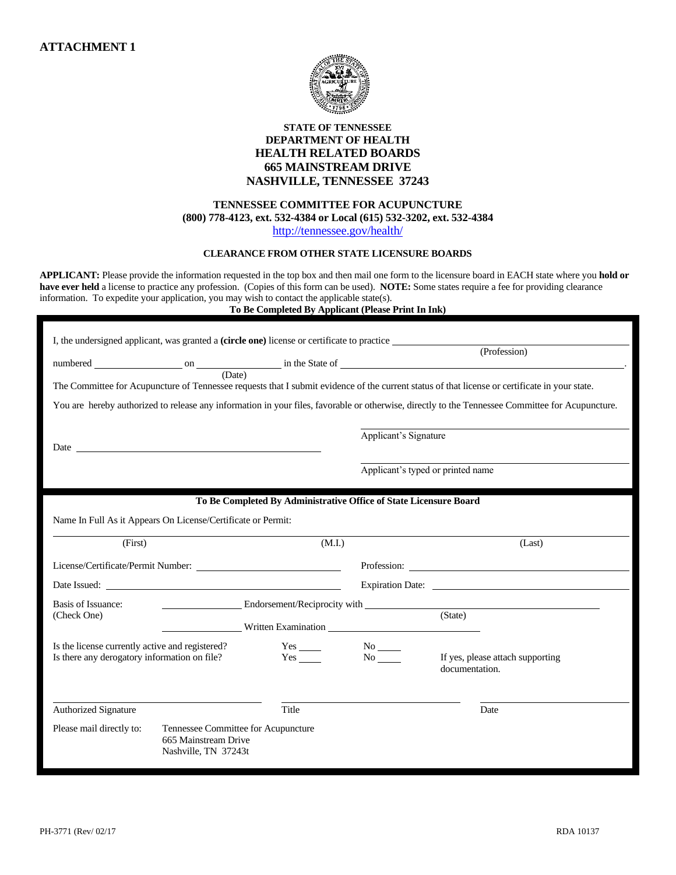

## **STATE OF TENNESSEE DEPARTMENT OF HEALTH HEALTH RELATED BOARDS 665 MAINSTREAM DRIVE NASHVILLE, TENNESSEE 37243**

#### **TENNESSEE COMMITTEE FOR ACUPUNCTURE (800) 778-4123, ext. 532-4384 or Local (615) 532-3202, ext. 532-4384** <http://tennessee.gov/health/>

#### **CLEARANCE FROM OTHER STATE LICENSURE BOARDS**

**APPLICANT:** Please provide the information requested in the top box and then mail one form to the licensure board in EACH state where you **hold or have ever held** a license to practice any profession. (Copies of this form can be used). **NOTE:** Some states require a fee for providing clearance information. To expedite your application, you may wish to contact the applicable state(s).

**To Be Completed By Applicant (Please Print In Ink)**

| I, the undersigned applicant, was granted a <b>(circle one)</b> license or certificate to practice                                                                                                                            |                                                                                                                                                                                                                                |  |
|-------------------------------------------------------------------------------------------------------------------------------------------------------------------------------------------------------------------------------|--------------------------------------------------------------------------------------------------------------------------------------------------------------------------------------------------------------------------------|--|
|                                                                                                                                                                                                                               | (Profession)                                                                                                                                                                                                                   |  |
|                                                                                                                                                                                                                               |                                                                                                                                                                                                                                |  |
| (Date)<br>The Committee for Acupuncture of Tennessee requests that I submit evidence of the current status of that license or certificate in your state.                                                                      |                                                                                                                                                                                                                                |  |
| You are hereby authorized to release any information in your files, favorable or otherwise, directly to the Tennessee Committee for Acupuncture.                                                                              |                                                                                                                                                                                                                                |  |
|                                                                                                                                                                                                                               |                                                                                                                                                                                                                                |  |
|                                                                                                                                                                                                                               | Applicant's Signature                                                                                                                                                                                                          |  |
| Date and the same state of the state of the state of the state of the state of the state of the state of the state of the state of the state of the state of the state of the state of the state of the state of the state of |                                                                                                                                                                                                                                |  |
|                                                                                                                                                                                                                               |                                                                                                                                                                                                                                |  |
|                                                                                                                                                                                                                               | Applicant's typed or printed name                                                                                                                                                                                              |  |
|                                                                                                                                                                                                                               |                                                                                                                                                                                                                                |  |
|                                                                                                                                                                                                                               | To Be Completed By Administrative Office of State Licensure Board                                                                                                                                                              |  |
| Name In Full As it Appears On License/Certificate or Permit:                                                                                                                                                                  |                                                                                                                                                                                                                                |  |
| (First)                                                                                                                                                                                                                       | (M.I.)<br>(Last)                                                                                                                                                                                                               |  |
|                                                                                                                                                                                                                               |                                                                                                                                                                                                                                |  |
|                                                                                                                                                                                                                               | Expiration Date:                                                                                                                                                                                                               |  |
| Basis of Issuance:                                                                                                                                                                                                            | Endorsement/Reciprocity with the contract of the contract of the contract of the contract of the contract of the contract of the contract of the contract of the contract of the contract of the contract of the contract of t |  |
| (Check One)                                                                                                                                                                                                                   | (State)                                                                                                                                                                                                                        |  |
|                                                                                                                                                                                                                               | Written Examination Number of Section 1989                                                                                                                                                                                     |  |
| Is the license currently active and registered?<br>$Yes$ <sub>_____</sub>                                                                                                                                                     | $No$ <sub>——</sub>                                                                                                                                                                                                             |  |
| $Yes$ <sub>____</sub><br>Is there any derogatory information on file?                                                                                                                                                         | If yes, please attach supporting<br>documentation.                                                                                                                                                                             |  |
|                                                                                                                                                                                                                               |                                                                                                                                                                                                                                |  |
|                                                                                                                                                                                                                               |                                                                                                                                                                                                                                |  |
| Title<br><b>Authorized Signature</b>                                                                                                                                                                                          | Date                                                                                                                                                                                                                           |  |
| Tennessee Committee for Acupuncture<br>Please mail directly to:                                                                                                                                                               |                                                                                                                                                                                                                                |  |
| 665 Mainstream Drive                                                                                                                                                                                                          |                                                                                                                                                                                                                                |  |
| Nashville, TN 37243t                                                                                                                                                                                                          |                                                                                                                                                                                                                                |  |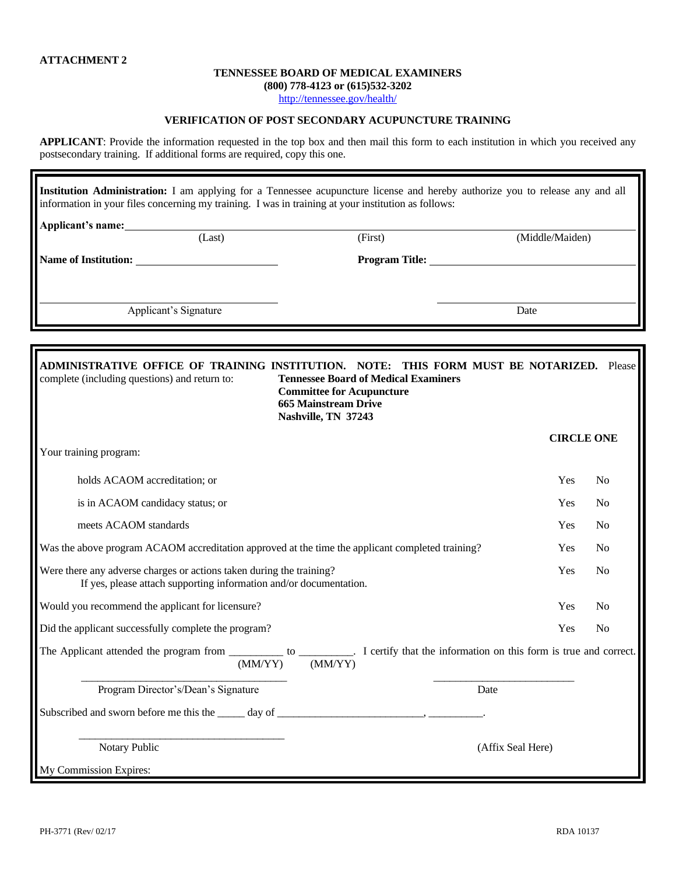#### **TENNESSEE BOARD OF MEDICAL EXAMINERS**

**(800) 778-4123 or (615)532-3202**

<http://tennessee.gov/health/>

### **VERIFICATION OF POST SECONDARY ACUPUNCTURE TRAINING**

**APPLICANT**: Provide the information requested in the top box and then mail this form to each institution in which you received any postsecondary training. If additional forms are required, copy this one.

| Institution Administration: I am applying for a Tennessee acupuncture license and hereby authorize you to release any and all<br>information in your files concerning my training. I was in training at your institution as follows: |                       |                       |                 |  |  |  |
|--------------------------------------------------------------------------------------------------------------------------------------------------------------------------------------------------------------------------------------|-----------------------|-----------------------|-----------------|--|--|--|
| Applicant's name:                                                                                                                                                                                                                    |                       |                       |                 |  |  |  |
|                                                                                                                                                                                                                                      | (Last)                | (First)               | (Middle/Maiden) |  |  |  |
| Name of Institution:                                                                                                                                                                                                                 |                       | <b>Program Title:</b> |                 |  |  |  |
|                                                                                                                                                                                                                                      |                       |                       |                 |  |  |  |
|                                                                                                                                                                                                                                      | Applicant's Signature |                       | Date            |  |  |  |

| ADMINISTRATIVE OFFICE OF TRAINING INSTI<br>complete (including questions) and return to:                                                   | <b>THIS FORM MUST BE NOTARIZED.</b> Please<br>NOTE:<br><b>Tennessee Board of Medical Examiners</b><br><b>Committee for Acupuncture</b><br><b>665 Mainstream Drive</b><br>Nashville, TN 37243 |                   |                |
|--------------------------------------------------------------------------------------------------------------------------------------------|----------------------------------------------------------------------------------------------------------------------------------------------------------------------------------------------|-------------------|----------------|
|                                                                                                                                            |                                                                                                                                                                                              | <b>CIRCLE ONE</b> |                |
| Your training program:                                                                                                                     |                                                                                                                                                                                              |                   |                |
| holds ACAOM accreditation; or                                                                                                              |                                                                                                                                                                                              | Yes               | N <sub>0</sub> |
| is in ACAOM candidacy status; or                                                                                                           |                                                                                                                                                                                              | Yes               | N <sub>0</sub> |
| meets ACAOM standards                                                                                                                      |                                                                                                                                                                                              | Yes               | N <sub>0</sub> |
| Was the above program ACAOM accreditation approved at the time the applicant completed training?                                           |                                                                                                                                                                                              | Yes               | N <sub>0</sub> |
| Were there any adverse charges or actions taken during the training?<br>If yes, please attach supporting information and/or documentation. |                                                                                                                                                                                              | Yes               | N <sub>0</sub> |
| Would you recommend the applicant for licensure?                                                                                           |                                                                                                                                                                                              | Yes               | N <sub>0</sub> |
| Did the applicant successfully complete the program?                                                                                       |                                                                                                                                                                                              | Yes               | N <sub>0</sub> |
| (MM/YY)                                                                                                                                    | (MM/YY)                                                                                                                                                                                      |                   |                |
| Program Director's/Dean's Signature                                                                                                        | Date                                                                                                                                                                                         |                   |                |
| Subscribed and sworn before me this the $\_\_\_\_$ day of $\_\_\_\_\_\_\_\_$ .                                                             |                                                                                                                                                                                              |                   |                |
| Notary Public                                                                                                                              | (Affix Seal Here)                                                                                                                                                                            |                   |                |
| My Commission Expires:                                                                                                                     |                                                                                                                                                                                              |                   |                |